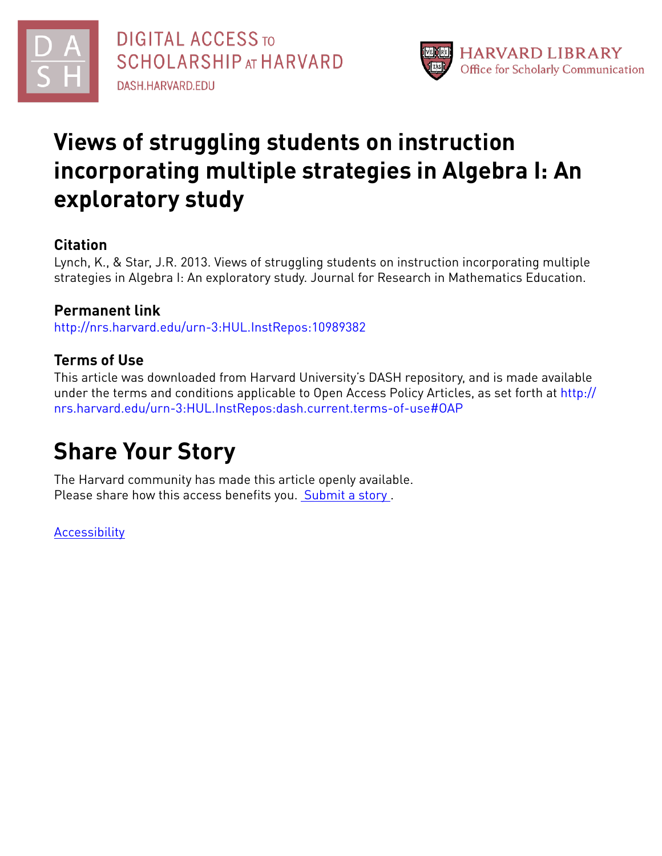



## **Views of struggling students on instruction incorporating multiple strategies in Algebra I: An exploratory study**

## **Citation**

Lynch, K., & Star, J.R. 2013. Views of struggling students on instruction incorporating multiple strategies in Algebra I: An exploratory study. Journal for Research in Mathematics Education.

## **Permanent link**

<http://nrs.harvard.edu/urn-3:HUL.InstRepos:10989382>

## **Terms of Use**

This article was downloaded from Harvard University's DASH repository, and is made available under the terms and conditions applicable to Open Access Policy Articles, as set forth at [http://](http://nrs.harvard.edu/urn-3:HUL.InstRepos:dash.current.terms-of-use#OAP) [nrs.harvard.edu/urn-3:HUL.InstRepos:dash.current.terms-of-use#OAP](http://nrs.harvard.edu/urn-3:HUL.InstRepos:dash.current.terms-of-use#OAP)

# **Share Your Story**

The Harvard community has made this article openly available. Please share how this access benefits you. [Submit](http://osc.hul.harvard.edu/dash/open-access-feedback?handle=&title=Views%20of%20struggling%20students%20on%20instruction%20incorporating%20multiple%20strategies%20in%20Algebra%20I:%20An%20exploratory%20study&community=1/3345927&collection=1/3345928&owningCollection1/3345928&harvardAuthors=efe36813be17b74daeabf7bc30741a14&department) a story.

[Accessibility](https://dash.harvard.edu/pages/accessibility)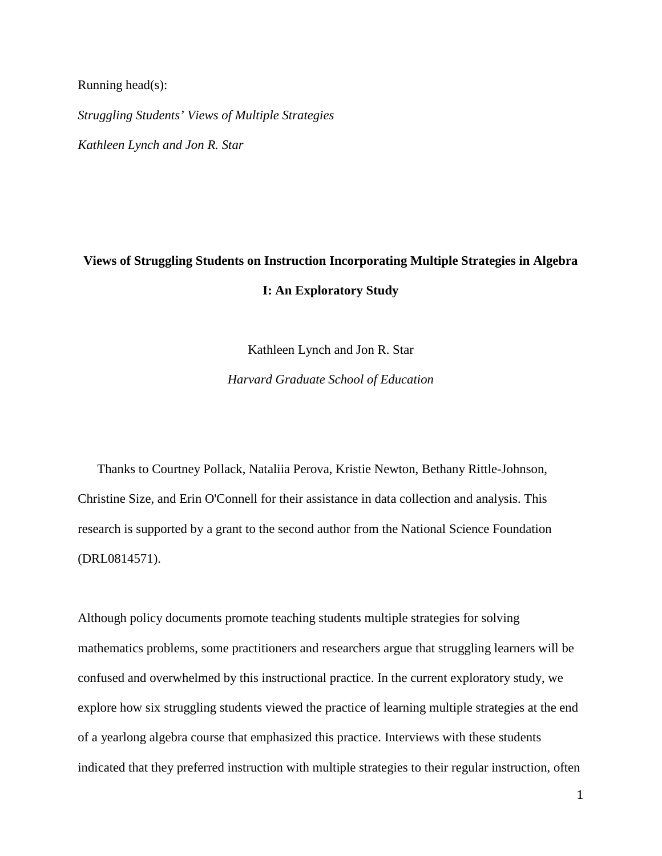Running head(s):

*Struggling Students' Views of Multiple Strategies Kathleen Lynch and Jon R. Star*

## **Views of Struggling Students on Instruction Incorporating Multiple Strategies in Algebra I: An Exploratory Study**

Kathleen Lynch and Jon R. Star

*Harvard Graduate School of Education*

Thanks to Courtney Pollack, Nataliia Perova, Kristie Newton, Bethany Rittle-Johnson, Christine Size, and Erin O'Connell for their assistance in data collection and analysis. This research is supported by a grant to the second author from the National Science Foundation (DRL0814571).

<span id="page-1-0"></span>Although policy documents promote teaching students multiple strategies for solving mathematics problems, some practitioners and researchers argue that struggling learners will be confused and overwhelmed by this instructional practice. In the current exploratory study, we explore how six struggling students viewed the practice of learning multiple strategies at the end of a yearlong algebra course that emphasized this practice. Interviews with these students indicated that they preferred instruction with multiple strategies to their regular instruction, often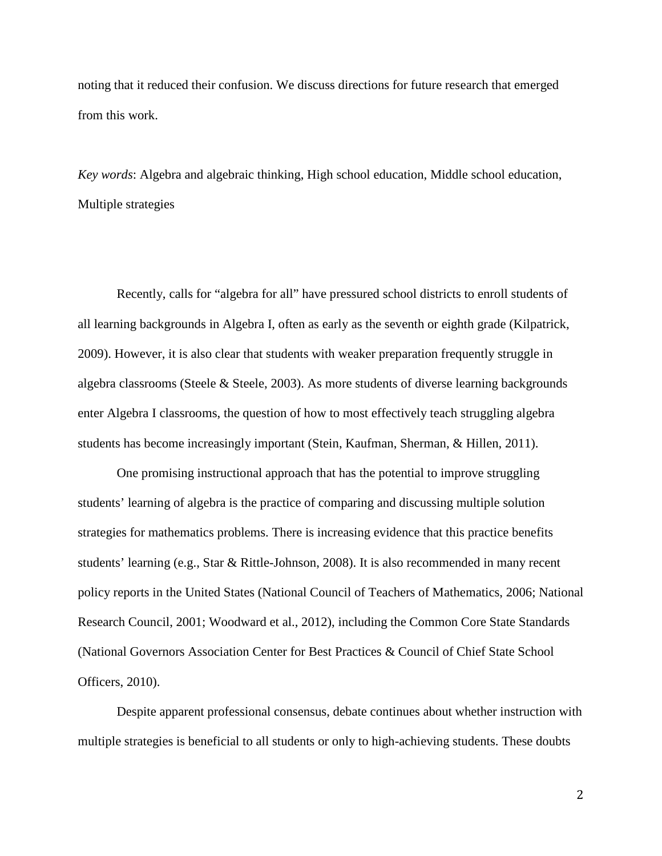noting that it reduced their confusion. We discuss directions for future research that emerged from this work.

*Key words*: Algebra and algebraic thinking, High school education, Middle school education, Multiple strategies

Recently, calls for "algebra for all" have pressured school districts to enroll students of all learning backgrounds in Algebra I, often as early as the seventh or eighth grade (Kilpatrick, 2009). However, it is also clear that students with weaker preparation frequently struggle in algebra classrooms (Steele & Steele, 2003). As more students of diverse learning backgrounds enter Algebra I classrooms, the question of how to most effectively teach struggling algebra students has become increasingly important (Stein, Kaufman, Sherman, & Hillen, 2011).

One promising instructional approach that has the potential to improve struggling students' learning of algebra is the practice of comparing and discussing multiple solution strategies for mathematics problems. There is increasing evidence that this practice benefits students' learning (e.g., Star & Rittle-Johnson, 2008). It is also recommended in many recent policy reports in the United States (National Council of Teachers of Mathematics, 2006; National Research Council, 2001; Woodward et al., 2012), including the Common Core State Standards (National Governors Association Center for Best Practices & Council of Chief State School Officers, 2010).

Despite apparent professional consensus, debate continues about whether instruction with multiple strategies is beneficial to all students or only to high-achieving students. These doubts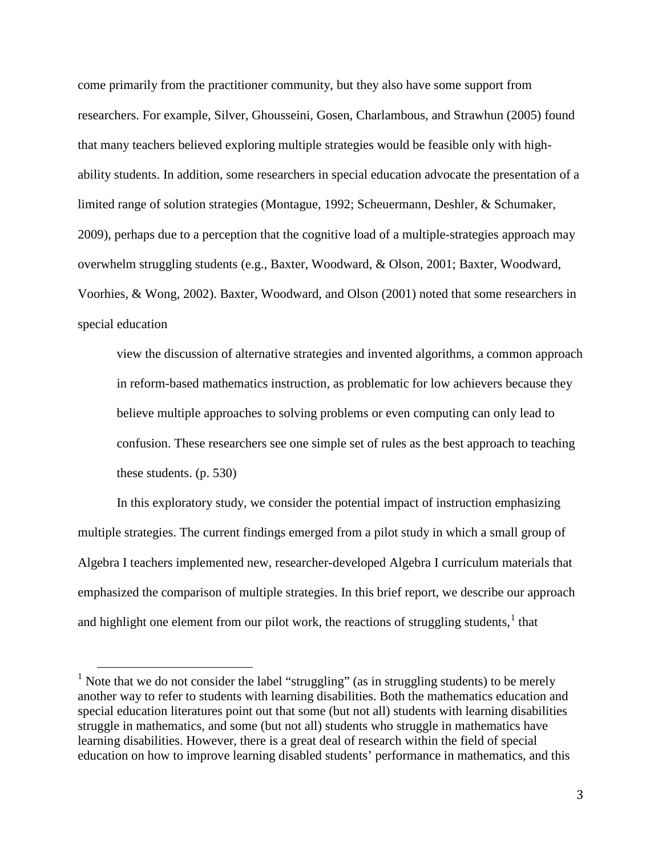come primarily from the practitioner community, but they also have some support from researchers. For example, Silver, Ghousseini, Gosen, Charlambous, and Strawhun (2005) found that many teachers believed exploring multiple strategies would be feasible only with highability students. In addition, some researchers in special education advocate the presentation of a limited range of solution strategies (Montague, 1992; Scheuermann, Deshler, & Schumaker, 2009), perhaps due to a perception that the cognitive load of a multiple-strategies approach may overwhelm struggling students (e.g., Baxter, Woodward, & Olson, 2001; Baxter, Woodward, Voorhies, & Wong, 2002). Baxter, Woodward, and Olson (2001) noted that some researchers in special education

view the discussion of alternative strategies and invented algorithms, a common approach in reform-based mathematics instruction, as problematic for low achievers because they believe multiple approaches to solving problems or even computing can only lead to confusion. These researchers see one simple set of rules as the best approach to teaching these students. (p. 530)

In this exploratory study, we consider the potential impact of instruction emphasizing multiple strategies. The current findings emerged from a pilot study in which a small group of Algebra I teachers implemented new, researcher-developed Algebra I curriculum materials that emphasized the comparison of multiple strategies. In this brief report, we describe our approach and highlight one element from our pilot work, the reactions of struggling students, $<sup>1</sup>$  $<sup>1</sup>$  $<sup>1</sup>$  that</sup>

<sup>&</sup>lt;sup>1</sup> Note that we do not consider the label "struggling" (as in struggling students) to be merely another way to refer to students with learning disabilities. Both the mathematics education and special education literatures point out that some (but not all) students with learning disabilities struggle in mathematics, and some (but not all) students who struggle in mathematics have learning disabilities. However, there is a great deal of research within the field of special education on how to improve learning disabled students' performance in mathematics, and this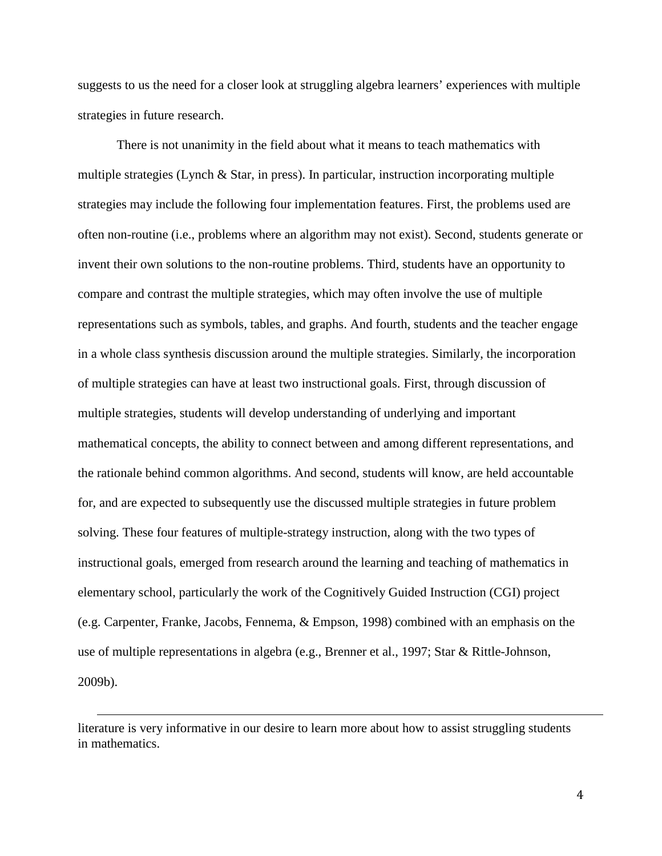suggests to us the need for a closer look at struggling algebra learners' experiences with multiple strategies in future research.

There is not unanimity in the field about what it means to teach mathematics with multiple strategies (Lynch & Star, in press). In particular, instruction incorporating multiple strategies may include the following four implementation features. First, the problems used are often non-routine (i.e., problems where an algorithm may not exist). Second, students generate or invent their own solutions to the non-routine problems. Third, students have an opportunity to compare and contrast the multiple strategies, which may often involve the use of multiple representations such as symbols, tables, and graphs. And fourth, students and the teacher engage in a whole class synthesis discussion around the multiple strategies. Similarly, the incorporation of multiple strategies can have at least two instructional goals. First, through discussion of multiple strategies, students will develop understanding of underlying and important mathematical concepts, the ability to connect between and among different representations, and the rationale behind common algorithms. And second, students will know, are held accountable for, and are expected to subsequently use the discussed multiple strategies in future problem solving. These four features of multiple-strategy instruction, along with the two types of instructional goals, emerged from research around the learning and teaching of mathematics in elementary school, particularly the work of the Cognitively Guided Instruction (CGI) project (e.g. Carpenter, Franke, Jacobs, Fennema, & Empson, 1998) combined with an emphasis on the use of multiple representations in algebra (e.g., Brenner et al., 1997; Star & Rittle-Johnson, 2009b).

 $\overline{a}$ 

literature is very informative in our desire to learn more about how to assist struggling students in mathematics.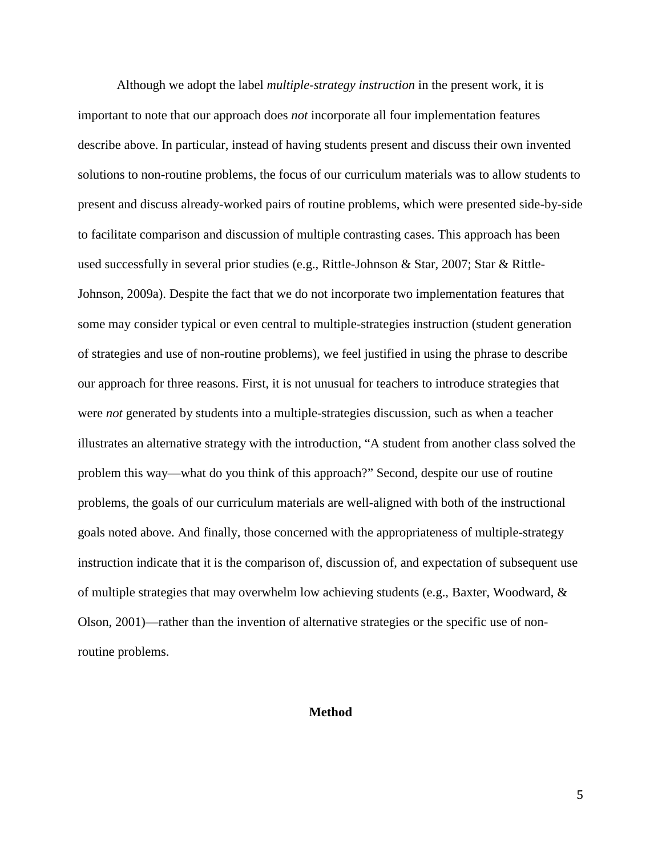Although we adopt the label *multiple-strategy instruction* in the present work, it is important to note that our approach does *not* incorporate all four implementation features describe above. In particular, instead of having students present and discuss their own invented solutions to non-routine problems, the focus of our curriculum materials was to allow students to present and discuss already-worked pairs of routine problems, which were presented side-by-side to facilitate comparison and discussion of multiple contrasting cases. This approach has been used successfully in several prior studies (e.g., Rittle-Johnson & Star, 2007; Star & Rittle-Johnson, 2009a). Despite the fact that we do not incorporate two implementation features that some may consider typical or even central to multiple-strategies instruction (student generation of strategies and use of non-routine problems), we feel justified in using the phrase to describe our approach for three reasons. First, it is not unusual for teachers to introduce strategies that were *not* generated by students into a multiple-strategies discussion, such as when a teacher illustrates an alternative strategy with the introduction, "A student from another class solved the problem this way—what do you think of this approach?" Second, despite our use of routine problems, the goals of our curriculum materials are well-aligned with both of the instructional goals noted above. And finally, those concerned with the appropriateness of multiple-strategy instruction indicate that it is the comparison of, discussion of, and expectation of subsequent use of multiple strategies that may overwhelm low achieving students (e.g., Baxter, Woodward, & Olson, 2001)—rather than the invention of alternative strategies or the specific use of nonroutine problems.

#### **Method**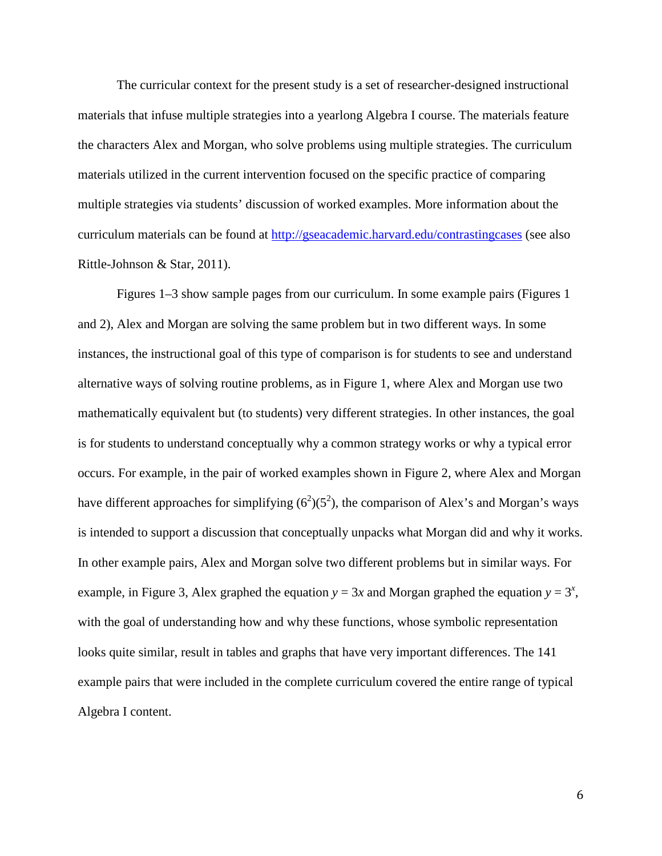The curricular context for the present study is a set of researcher-designed instructional materials that infuse multiple strategies into a yearlong Algebra I course. The materials feature the characters Alex and Morgan, who solve problems using multiple strategies. The curriculum materials utilized in the current intervention focused on the specific practice of comparing multiple strategies via students' discussion of worked examples. More information about the curriculum materials can be found at<http://gseacademic.harvard.edu/contrastingcases> (see also Rittle-Johnson & Star, 2011).

Figures 1–3 show sample pages from our curriculum. In some example pairs (Figures 1 and 2), Alex and Morgan are solving the same problem but in two different ways. In some instances, the instructional goal of this type of comparison is for students to see and understand alternative ways of solving routine problems, as in Figure 1, where Alex and Morgan use two mathematically equivalent but (to students) very different strategies. In other instances, the goal is for students to understand conceptually why a common strategy works or why a typical error occurs. For example, in the pair of worked examples shown in Figure 2, where Alex and Morgan have different approaches for simplifying  $(6^2)(5^2)$ , the comparison of Alex's and Morgan's ways is intended to support a discussion that conceptually unpacks what Morgan did and why it works. In other example pairs, Alex and Morgan solve two different problems but in similar ways. For example, in Figure 3, Alex graphed the equation  $y = 3x$  and Morgan graphed the equation  $y = 3^x$ , with the goal of understanding how and why these functions, whose symbolic representation looks quite similar, result in tables and graphs that have very important differences. The 141 example pairs that were included in the complete curriculum covered the entire range of typical Algebra I content.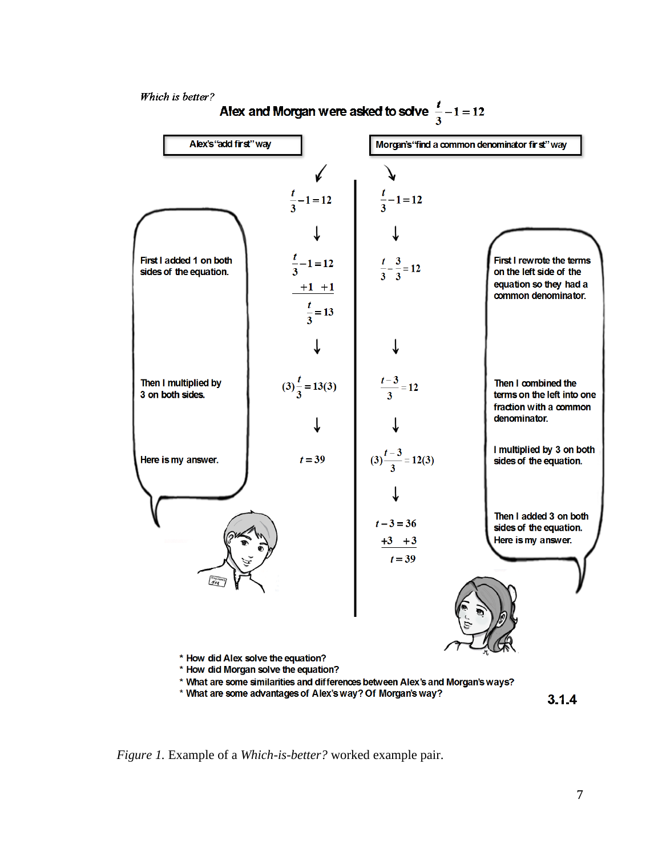

*Figure 1.* Example of a *Which-is-better?* worked example pair.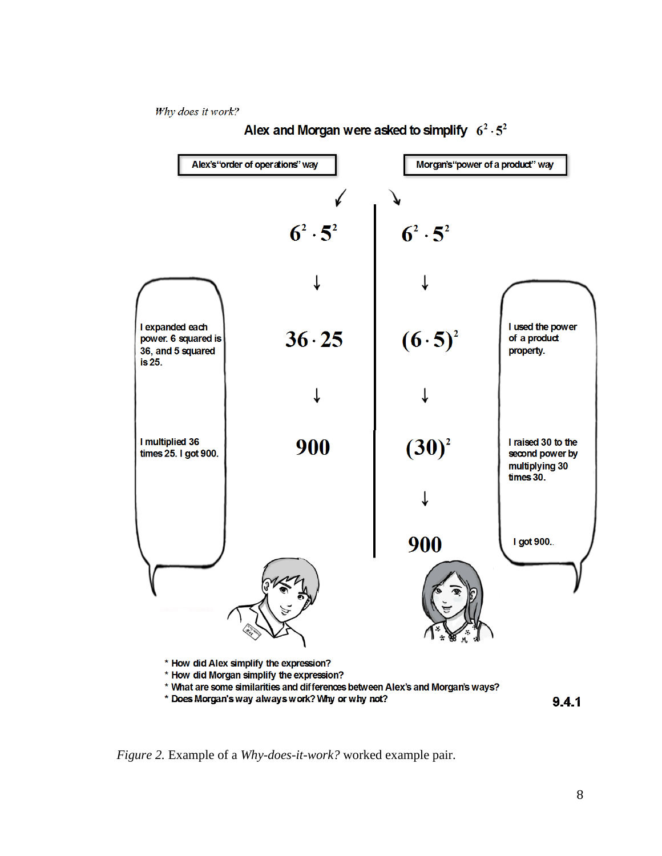Why does it work?



### Alex and Morgan were asked to simplify  $6^2 \cdot 5^2$

*Figure 2.* Example of a *Why-does-it-work?* worked example pair.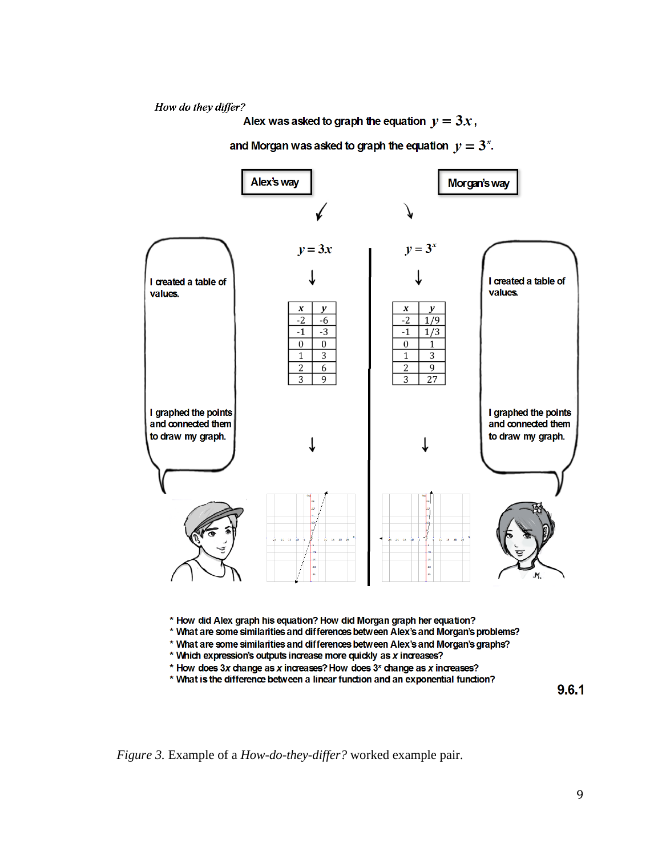How do they differ?

Alex was asked to graph the equation  $y = 3x$ ,

and Morgan was asked to graph the equation  $y = 3^x$ .



\* How did Alex graph his equation? How did Morgan graph her equation?

\* What are some similarities and differences between Alex's and Morgan's problems?

- \* What are some similarities and differences between Alex's and Morgan's graphs?
- \* Which expression's outputs increase more quickly as x increases?
- \* How does 3x change as x increases? How does 3<sup>x</sup> change as x increases?
- \* What is the difference between a linear function and an exponential function?

9.6.1

*Figure 3.* Example of a *How-do-they-differ?* worked example pair.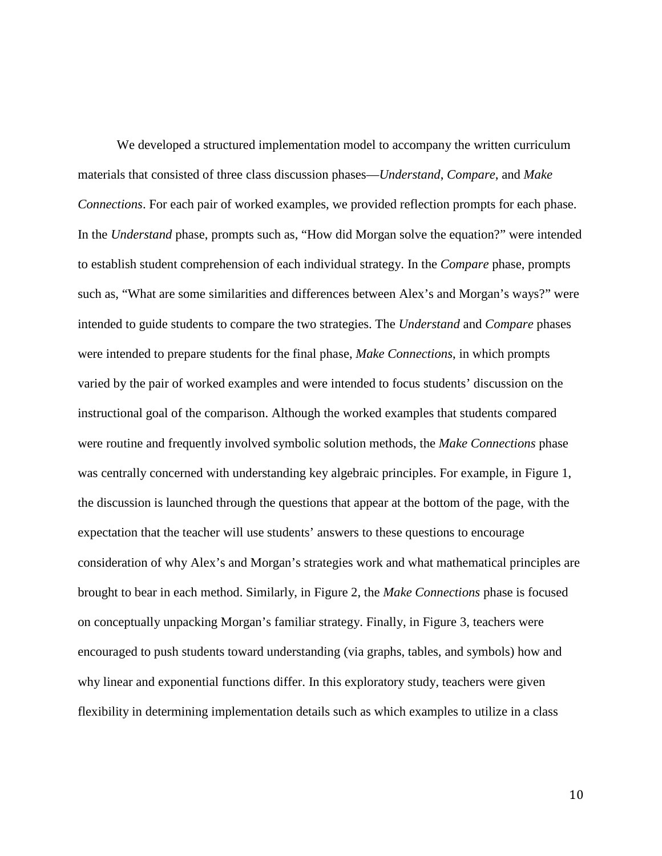We developed a structured implementation model to accompany the written curriculum materials that consisted of three class discussion phases—*Understand*, *Compare*, and *Make Connections*. For each pair of worked examples, we provided reflection prompts for each phase. In the *Understand* phase, prompts such as, "How did Morgan solve the equation?" were intended to establish student comprehension of each individual strategy. In the *Compare* phase, prompts such as, "What are some similarities and differences between Alex's and Morgan's ways?" were intended to guide students to compare the two strategies. The *Understand* and *Compare* phases were intended to prepare students for the final phase, *Make Connections*, in which prompts varied by the pair of worked examples and were intended to focus students' discussion on the instructional goal of the comparison. Although the worked examples that students compared were routine and frequently involved symbolic solution methods, the *Make Connections* phase was centrally concerned with understanding key algebraic principles. For example, in Figure 1, the discussion is launched through the questions that appear at the bottom of the page, with the expectation that the teacher will use students' answers to these questions to encourage consideration of why Alex's and Morgan's strategies work and what mathematical principles are brought to bear in each method. Similarly, in Figure 2, the *Make Connections* phase is focused on conceptually unpacking Morgan's familiar strategy. Finally, in Figure 3, teachers were encouraged to push students toward understanding (via graphs, tables, and symbols) how and why linear and exponential functions differ. In this exploratory study, teachers were given flexibility in determining implementation details such as which examples to utilize in a class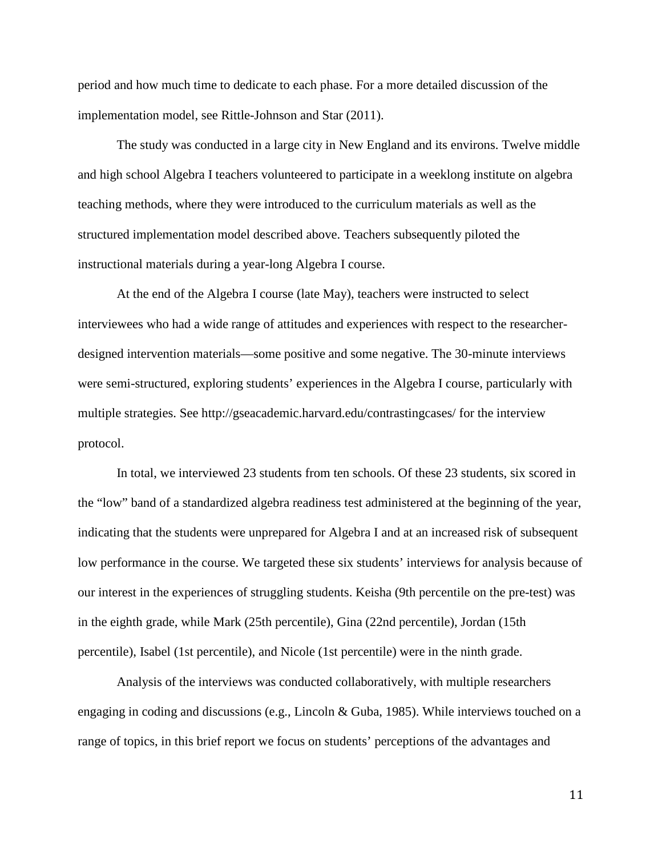period and how much time to dedicate to each phase. For a more detailed discussion of the implementation model, see Rittle-Johnson and Star (2011).

The study was conducted in a large city in New England and its environs. Twelve middle and high school Algebra I teachers volunteered to participate in a weeklong institute on algebra teaching methods, where they were introduced to the curriculum materials as well as the structured implementation model described above. Teachers subsequently piloted the instructional materials during a year-long Algebra I course.

At the end of the Algebra I course (late May), teachers were instructed to select interviewees who had a wide range of attitudes and experiences with respect to the researcherdesigned intervention materials—some positive and some negative. The 30-minute interviews were semi-structured, exploring students' experiences in the Algebra I course, particularly with multiple strategies. See http://gseacademic.harvard.edu/contrastingcases/ for the interview protocol.

In total, we interviewed 23 students from ten schools. Of these 23 students, six scored in the "low" band of a standardized algebra readiness test administered at the beginning of the year, indicating that the students were unprepared for Algebra I and at an increased risk of subsequent low performance in the course. We targeted these six students' interviews for analysis because of our interest in the experiences of struggling students. Keisha (9th percentile on the pre-test) was in the eighth grade, while Mark (25th percentile), Gina (22nd percentile), Jordan (15th percentile), Isabel (1st percentile), and Nicole (1st percentile) were in the ninth grade.

Analysis of the interviews was conducted collaboratively, with multiple researchers engaging in coding and discussions (e.g., Lincoln & Guba, 1985). While interviews touched on a range of topics, in this brief report we focus on students' perceptions of the advantages and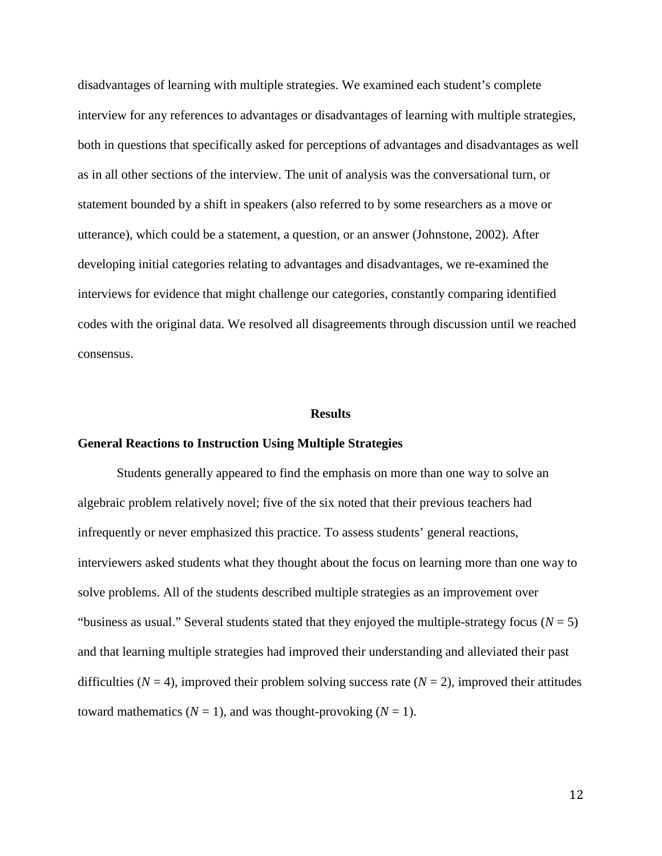disadvantages of learning with multiple strategies. We examined each student's complete interview for any references to advantages or disadvantages of learning with multiple strategies, both in questions that specifically asked for perceptions of advantages and disadvantages as well as in all other sections of the interview. The unit of analysis was the conversational turn, or statement bounded by a shift in speakers (also referred to by some researchers as a move or utterance), which could be a statement, a question, or an answer (Johnstone, 2002). After developing initial categories relating to advantages and disadvantages, we re-examined the interviews for evidence that might challenge our categories, constantly comparing identified codes with the original data. We resolved all disagreements through discussion until we reached consensus.

#### **Results**

#### **General Reactions to Instruction Using Multiple Strategies**

Students generally appeared to find the emphasis on more than one way to solve an algebraic problem relatively novel; five of the six noted that their previous teachers had infrequently or never emphasized this practice. To assess students' general reactions, interviewers asked students what they thought about the focus on learning more than one way to solve problems. All of the students described multiple strategies as an improvement over "business as usual." Several students stated that they enjoyed the multiple-strategy focus  $(N = 5)$ and that learning multiple strategies had improved their understanding and alleviated their past difficulties ( $N = 4$ ), improved their problem solving success rate ( $N = 2$ ), improved their attitudes toward mathematics ( $N = 1$ ), and was thought-provoking ( $N = 1$ ).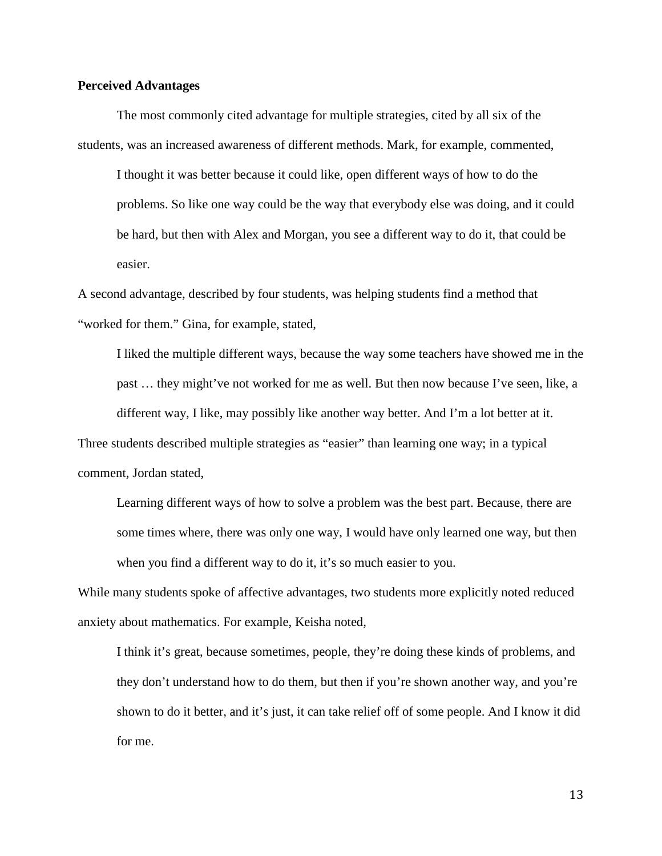#### **Perceived Advantages**

The most commonly cited advantage for multiple strategies, cited by all six of the students, was an increased awareness of different methods. Mark, for example, commented,

I thought it was better because it could like, open different ways of how to do the problems. So like one way could be the way that everybody else was doing, and it could be hard, but then with Alex and Morgan, you see a different way to do it, that could be easier.

A second advantage, described by four students, was helping students find a method that "worked for them." Gina, for example, stated,

I liked the multiple different ways, because the way some teachers have showed me in the past … they might've not worked for me as well. But then now because I've seen, like, a different way, I like, may possibly like another way better. And I'm a lot better at it. Three students described multiple strategies as "easier" than learning one way; in a typical comment, Jordan stated,

Learning different ways of how to solve a problem was the best part. Because, there are some times where, there was only one way, I would have only learned one way, but then when you find a different way to do it, it's so much easier to you.

While many students spoke of affective advantages, two students more explicitly noted reduced anxiety about mathematics. For example, Keisha noted,

I think it's great, because sometimes, people, they're doing these kinds of problems, and they don't understand how to do them, but then if you're shown another way, and you're shown to do it better, and it's just, it can take relief off of some people. And I know it did for me.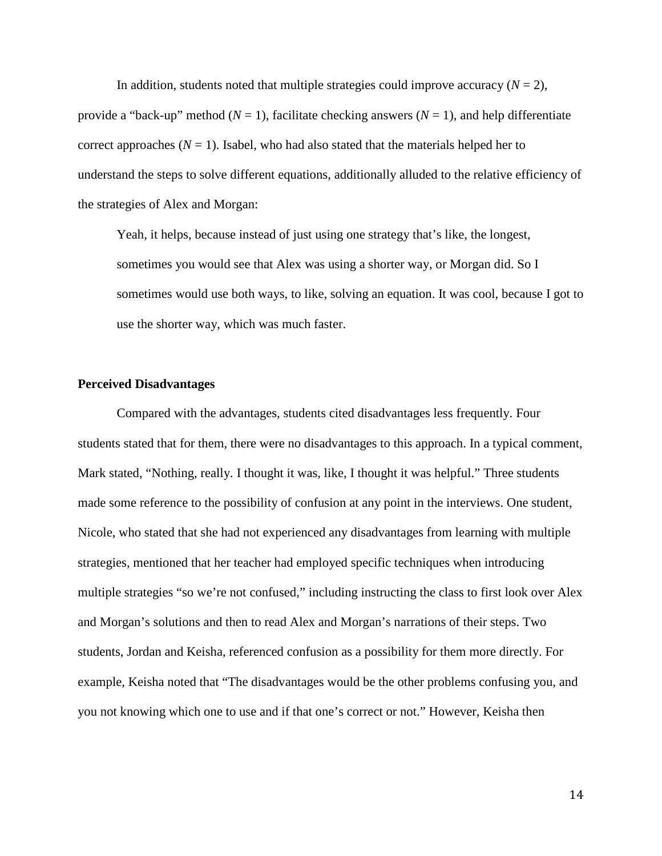In addition, students noted that multiple strategies could improve accuracy  $(N = 2)$ , provide a "back-up" method ( $N = 1$ ), facilitate checking answers ( $N = 1$ ), and help differentiate correct approaches  $(N = 1)$ . Isabel, who had also stated that the materials helped her to understand the steps to solve different equations, additionally alluded to the relative efficiency of the strategies of Alex and Morgan:

Yeah, it helps, because instead of just using one strategy that's like, the longest, sometimes you would see that Alex was using a shorter way, or Morgan did. So I sometimes would use both ways, to like, solving an equation. It was cool, because I got to use the shorter way, which was much faster.

#### **Perceived Disadvantages**

Compared with the advantages, students cited disadvantages less frequently. Four students stated that for them, there were no disadvantages to this approach. In a typical comment, Mark stated, "Nothing, really. I thought it was, like, I thought it was helpful." Three students made some reference to the possibility of confusion at any point in the interviews. One student, Nicole, who stated that she had not experienced any disadvantages from learning with multiple strategies, mentioned that her teacher had employed specific techniques when introducing multiple strategies "so we're not confused," including instructing the class to first look over Alex and Morgan's solutions and then to read Alex and Morgan's narrations of their steps. Two students, Jordan and Keisha, referenced confusion as a possibility for them more directly. For example, Keisha noted that "The disadvantages would be the other problems confusing you, and you not knowing which one to use and if that one's correct or not." However, Keisha then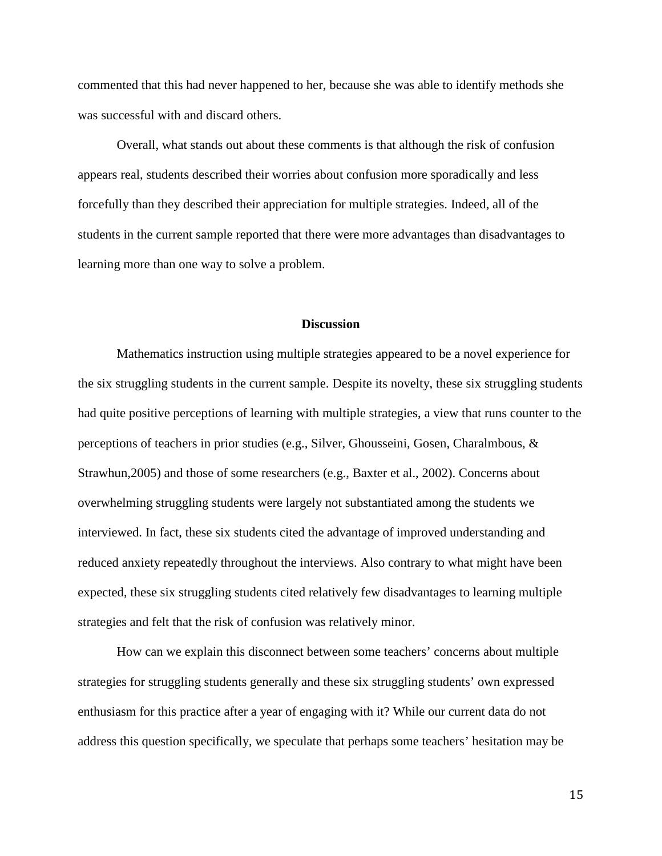commented that this had never happened to her, because she was able to identify methods she was successful with and discard others.

Overall, what stands out about these comments is that although the risk of confusion appears real, students described their worries about confusion more sporadically and less forcefully than they described their appreciation for multiple strategies. Indeed, all of the students in the current sample reported that there were more advantages than disadvantages to learning more than one way to solve a problem.

#### **Discussion**

Mathematics instruction using multiple strategies appeared to be a novel experience for the six struggling students in the current sample. Despite its novelty, these six struggling students had quite positive perceptions of learning with multiple strategies, a view that runs counter to the perceptions of teachers in prior studies (e.g., Silver, Ghousseini, Gosen, Charalmbous, & Strawhun,2005) and those of some researchers (e.g., Baxter et al., 2002). Concerns about overwhelming struggling students were largely not substantiated among the students we interviewed. In fact, these six students cited the advantage of improved understanding and reduced anxiety repeatedly throughout the interviews. Also contrary to what might have been expected, these six struggling students cited relatively few disadvantages to learning multiple strategies and felt that the risk of confusion was relatively minor.

How can we explain this disconnect between some teachers' concerns about multiple strategies for struggling students generally and these six struggling students' own expressed enthusiasm for this practice after a year of engaging with it? While our current data do not address this question specifically, we speculate that perhaps some teachers' hesitation may be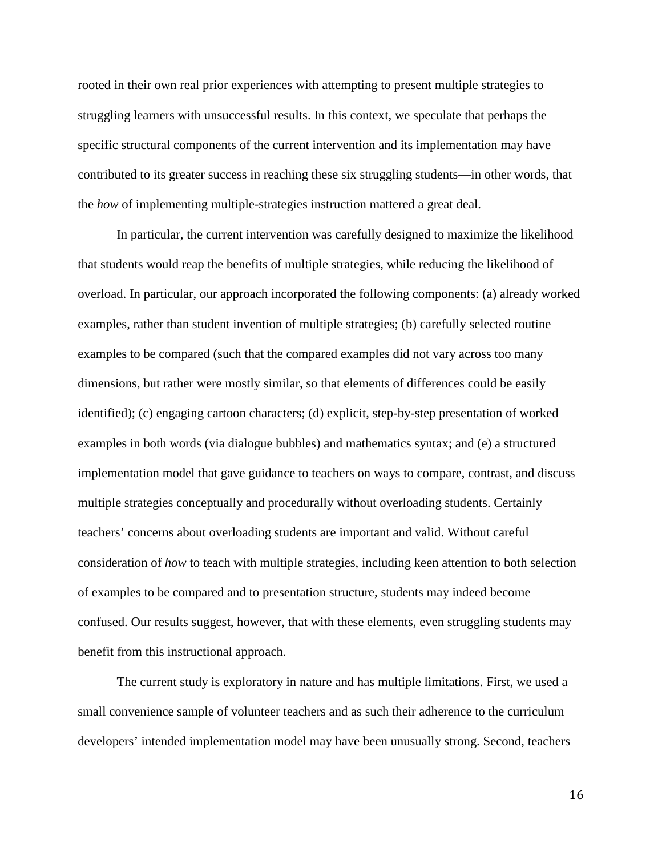rooted in their own real prior experiences with attempting to present multiple strategies to struggling learners with unsuccessful results. In this context, we speculate that perhaps the specific structural components of the current intervention and its implementation may have contributed to its greater success in reaching these six struggling students—in other words, that the *how* of implementing multiple-strategies instruction mattered a great deal.

In particular, the current intervention was carefully designed to maximize the likelihood that students would reap the benefits of multiple strategies, while reducing the likelihood of overload. In particular, our approach incorporated the following components: (a) already worked examples, rather than student invention of multiple strategies; (b) carefully selected routine examples to be compared (such that the compared examples did not vary across too many dimensions, but rather were mostly similar, so that elements of differences could be easily identified); (c) engaging cartoon characters; (d) explicit, step-by-step presentation of worked examples in both words (via dialogue bubbles) and mathematics syntax; and (e) a structured implementation model that gave guidance to teachers on ways to compare, contrast, and discuss multiple strategies conceptually and procedurally without overloading students. Certainly teachers' concerns about overloading students are important and valid. Without careful consideration of *how* to teach with multiple strategies, including keen attention to both selection of examples to be compared and to presentation structure, students may indeed become confused. Our results suggest, however, that with these elements, even struggling students may benefit from this instructional approach.

The current study is exploratory in nature and has multiple limitations. First, we used a small convenience sample of volunteer teachers and as such their adherence to the curriculum developers' intended implementation model may have been unusually strong. Second, teachers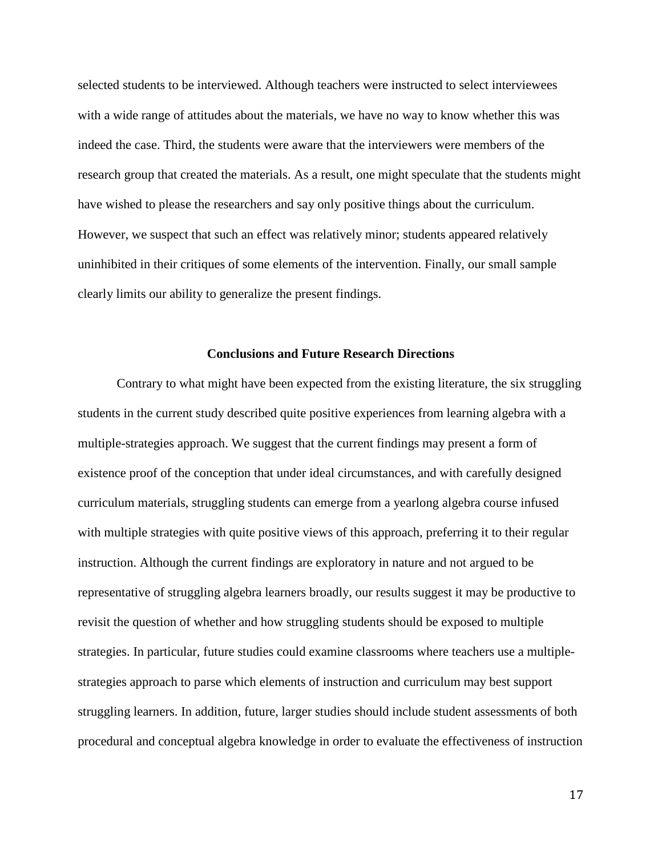selected students to be interviewed. Although teachers were instructed to select interviewees with a wide range of attitudes about the materials, we have no way to know whether this was indeed the case. Third, the students were aware that the interviewers were members of the research group that created the materials. As a result, one might speculate that the students might have wished to please the researchers and say only positive things about the curriculum. However, we suspect that such an effect was relatively minor; students appeared relatively uninhibited in their critiques of some elements of the intervention. Finally, our small sample clearly limits our ability to generalize the present findings.

#### **Conclusions and Future Research Directions**

Contrary to what might have been expected from the existing literature, the six struggling students in the current study described quite positive experiences from learning algebra with a multiple-strategies approach. We suggest that the current findings may present a form of existence proof of the conception that under ideal circumstances, and with carefully designed curriculum materials, struggling students can emerge from a yearlong algebra course infused with multiple strategies with quite positive views of this approach, preferring it to their regular instruction. Although the current findings are exploratory in nature and not argued to be representative of struggling algebra learners broadly, our results suggest it may be productive to revisit the question of whether and how struggling students should be exposed to multiple strategies. In particular, future studies could examine classrooms where teachers use a multiplestrategies approach to parse which elements of instruction and curriculum may best support struggling learners. In addition, future, larger studies should include student assessments of both procedural and conceptual algebra knowledge in order to evaluate the effectiveness of instruction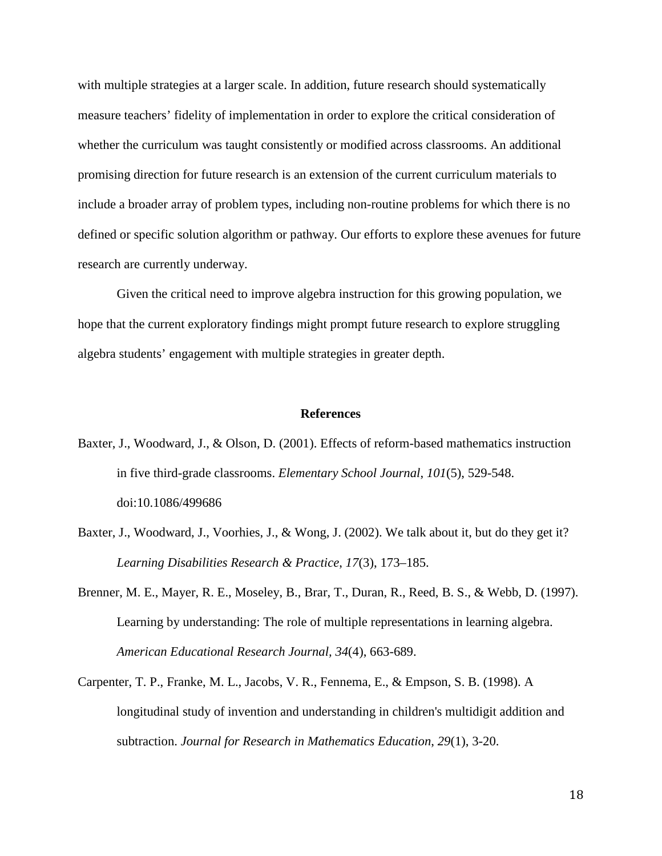with multiple strategies at a larger scale. In addition, future research should systematically measure teachers' fidelity of implementation in order to explore the critical consideration of whether the curriculum was taught consistently or modified across classrooms. An additional promising direction for future research is an extension of the current curriculum materials to include a broader array of problem types, including non-routine problems for which there is no defined or specific solution algorithm or pathway. Our efforts to explore these avenues for future research are currently underway.

Given the critical need to improve algebra instruction for this growing population, we hope that the current exploratory findings might prompt future research to explore struggling algebra students' engagement with multiple strategies in greater depth.

#### **References**

- Baxter, J., Woodward, J., & Olson, D. (2001). Effects of reform-based mathematics instruction in five third-grade classrooms. *Elementary School Journal*, *101*(5), 529-548. doi:10.1086/499686
- Baxter, J., Woodward, J., Voorhies, J., & Wong, J. (2002). We talk about it, but do they get it? *Learning Disabilities Research & Practice*, *17*(3), 173–185.
- Brenner, M. E., Mayer, R. E., Moseley, B., Brar, T., Duran, R., Reed, B. S., & Webb, D. (1997). Learning by understanding: The role of multiple representations in learning algebra. *American Educational Research Journal, 34*(4), 663-689.
- Carpenter, T. P., Franke, M. L., Jacobs, V. R., Fennema, E., & Empson, S. B. (1998). A longitudinal study of invention and understanding in children's multidigit addition and subtraction. *Journal for Research in Mathematics Education*, *29*(1), 3-20.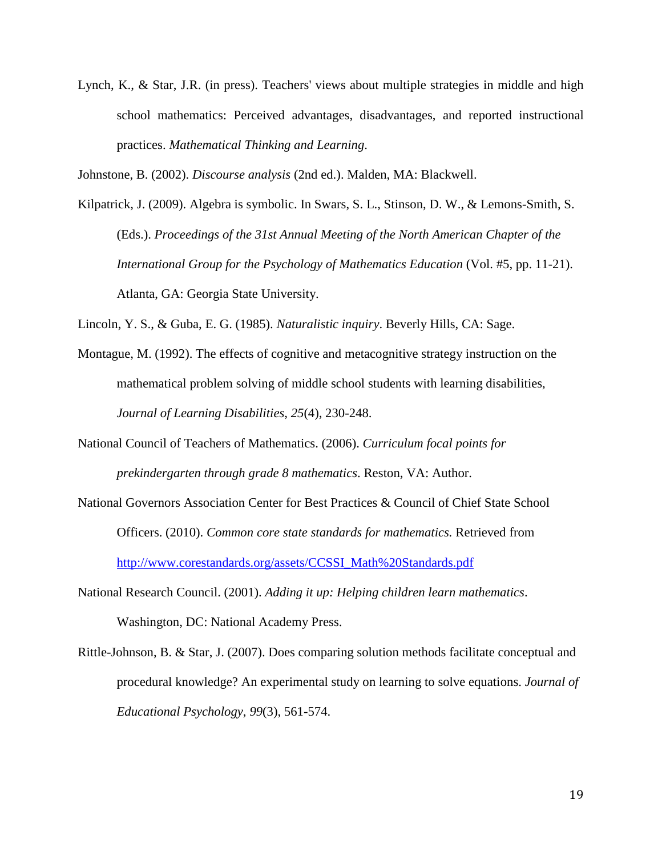Lynch, K., & Star, J.R. (in press). Teachers' views about multiple strategies in middle and high school mathematics: Perceived advantages, disadvantages, and reported instructional practices. *Mathematical Thinking and Learning*.

Johnstone, B. (2002). *Discourse analysis* (2nd ed.). Malden, MA: Blackwell.

Kilpatrick, J. (2009). Algebra is symbolic. In Swars, S. L., Stinson, D. W., & Lemons-Smith, S. (Eds.). *Proceedings of the 31st Annual Meeting of the North American Chapter of the International Group for the Psychology of Mathematics Education* (Vol. #5, pp. 11-21). Atlanta, GA: Georgia State University.

Lincoln, Y. S., & Guba, E. G. (1985). *Naturalistic inquiry*. Beverly Hills, CA: Sage.

- Montague, M. (1992). The effects of cognitive and metacognitive strategy instruction on the mathematical problem solving of middle school students with learning disabilities, *Journal of Learning Disabilities*, *25*(4), 230-248.
- National Council of Teachers of Mathematics. (2006). *Curriculum focal points for prekindergarten through grade 8 mathematics*. Reston, VA: Author.
- National Governors Association Center for Best Practices & Council of Chief State School Officers. (2010). *Common core state standards for mathematics.* Retrieved from [http://www.corestandards.org/assets/CCSSI\\_Math%20Standards.pdf](http://www.corestandards.org/assets/CCSSI_Math%20Standards.pdf)
- National Research Council. (2001). *Adding it up: Helping children learn mathematics*. Washington, DC: National Academy Press.
- Rittle-Johnson, B. & Star, J. (2007). Does comparing solution methods facilitate conceptual and procedural knowledge? An experimental study on learning to solve equations. *Journal of Educational Psychology*, *99*(3), 561-574.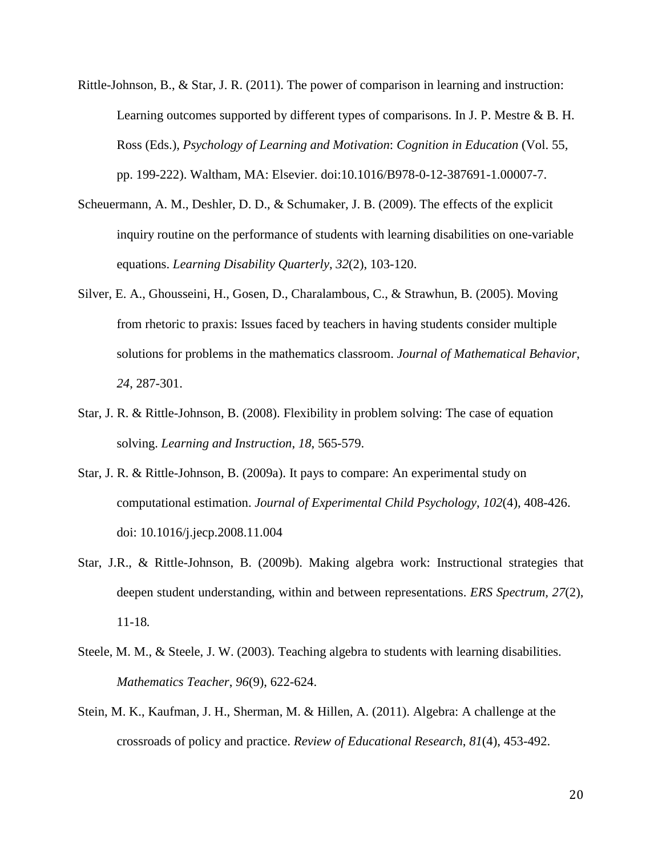- Rittle-Johnson, B., & Star, J. R. (2011). The power of comparison in learning and instruction: Learning outcomes supported by different types of comparisons. In J. P. Mestre & B. H. Ross (Eds.), *Psychology of Learning and Motivation*: *Cognition in Education* (Vol. 55*,*  pp. 199-222). Waltham, MA: Elsevier. doi:10.1016/B978-0-12-387691-1.00007-7.
- Scheuermann, A. M., Deshler, D. D., & Schumaker, J. B. (2009). The effects of the explicit inquiry routine on the performance of students with learning disabilities on one-variable equations. *Learning Disability Quarterly*, *32*(2), 103-120.
- Silver, E. A., Ghousseini, H., Gosen, D., Charalambous, C., & Strawhun, B. (2005). Moving from rhetoric to praxis: Issues faced by teachers in having students consider multiple solutions for problems in the mathematics classroom. *Journal of Mathematical Behavior*, *24*, 287-301.
- Star, J. R. & Rittle-Johnson, B. (2008). Flexibility in problem solving: The case of equation solving. *Learning and Instruction*, *18*, 565-579.
- Star, J. R. & Rittle-Johnson, B. (2009a). It pays to compare: An experimental study on computational estimation. *Journal of Experimental Child Psychology*, *102*(4), 408-426. doi: 10.1016/j.jecp.2008.11.004
- Star, J.R., & Rittle-Johnson, B. (2009b). Making algebra work: Instructional strategies that deepen student understanding, within and between representations. *ERS Spectrum, 27*(2), 11-18*.*
- Steele, M. M., & Steele, J. W. (2003). Teaching algebra to students with learning disabilities. *Mathematics Teacher*, *96*(9), 622-624.
- Stein, M. K., Kaufman, J. H., Sherman, M. & Hillen, A. (2011). Algebra: A challenge at the crossroads of policy and practice. *Review of Educational Research*, *81*(4), 453-492.